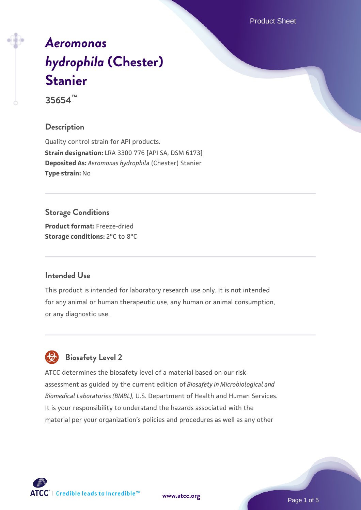Product Sheet

# *[Aeromonas](https://www.atcc.org/products/35654) [hydrophila](https://www.atcc.org/products/35654)* **[\(Chester\)](https://www.atcc.org/products/35654) [Stanier](https://www.atcc.org/products/35654)**

**35654™**

## **Description**

Quality control strain for API products. **Strain designation:** LRA 3300 776 [API SA, DSM 6173] **Deposited As:** *Aeromonas hydrophila* (Chester) Stanier **Type strain:** No

**Storage Conditions Product format:** Freeze-dried **Storage conditions:** 2°C to 8°C

## **Intended Use**

This product is intended for laboratory research use only. It is not intended for any animal or human therapeutic use, any human or animal consumption, or any diagnostic use.



## **Biosafety Level 2**

ATCC determines the biosafety level of a material based on our risk assessment as guided by the current edition of *Biosafety in Microbiological and Biomedical Laboratories (BMBL)*, U.S. Department of Health and Human Services. It is your responsibility to understand the hazards associated with the material per your organization's policies and procedures as well as any other



**[www.atcc.org](http://www.atcc.org)**

Page 1 of 5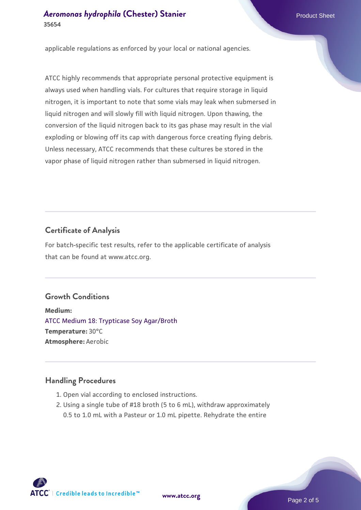applicable regulations as enforced by your local or national agencies.

ATCC highly recommends that appropriate personal protective equipment is always used when handling vials. For cultures that require storage in liquid nitrogen, it is important to note that some vials may leak when submersed in liquid nitrogen and will slowly fill with liquid nitrogen. Upon thawing, the conversion of the liquid nitrogen back to its gas phase may result in the vial exploding or blowing off its cap with dangerous force creating flying debris. Unless necessary, ATCC recommends that these cultures be stored in the vapor phase of liquid nitrogen rather than submersed in liquid nitrogen.

## **Certificate of Analysis**

For batch-specific test results, refer to the applicable certificate of analysis that can be found at www.atcc.org.

## **Growth Conditions**

**Medium:**  [ATCC Medium 18: Trypticase Soy Agar/Broth](https://www.atcc.org/-/media/product-assets/documents/microbial-media-formulations/1/8/atcc-medium-18.pdf?rev=832846e1425841f19fc70569848edae7) **Temperature:** 30°C **Atmosphere:** Aerobic

#### **Handling Procedures**

- 1. Open vial according to enclosed instructions.
- 2. Using a single tube of #18 broth (5 to 6 mL), withdraw approximately 0.5 to 1.0 mL with a Pasteur or 1.0 mL pipette. Rehydrate the entire

 $\mathsf{ATCC}^{\dagger} \mid \mathsf{Credible}\$  leads to Incredible  $\mathsf{m}$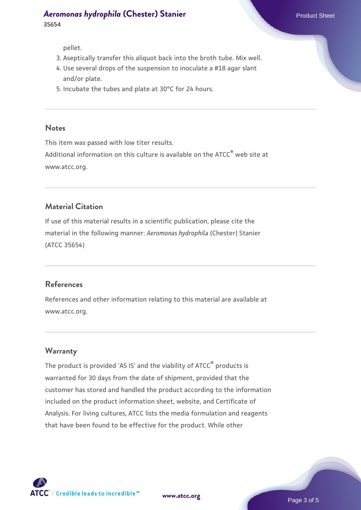pellet.

- 3. Aseptically transfer this aliquot back into the broth tube. Mix well.
- 4. Use several drops of the suspension to inoculate a #18 agar slant and/or plate.
- 5. Incubate the tubes and plate at 30°C for 24 hours.

#### **Notes**

This item was passed with low titer results. Additional information on this culture is available on the ATCC<sup>®</sup> web site at www.atcc.org.

#### **Material Citation**

If use of this material results in a scientific publication, please cite the material in the following manner: *Aeromonas hydrophila* (Chester) Stanier (ATCC 35654)

#### **References**

References and other information relating to this material are available at www.atcc.org.

#### **Warranty**

The product is provided 'AS IS' and the viability of ATCC<sup>®</sup> products is warranted for 30 days from the date of shipment, provided that the customer has stored and handled the product according to the information included on the product information sheet, website, and Certificate of Analysis. For living cultures, ATCC lists the media formulation and reagents that have been found to be effective for the product. While other

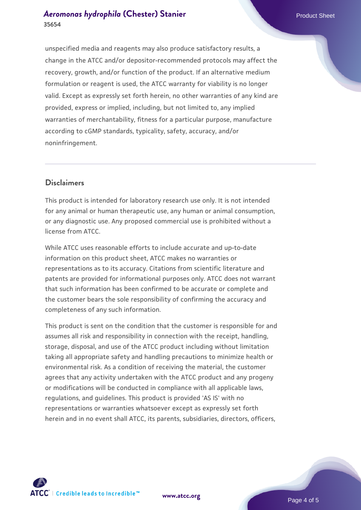#### *[Aeromonas hydrophila](https://www.atcc.org/products/35654)* **[\(Chester\) Stanier](https://www.atcc.org/products/35654) Product Sheet Product Sheet 35654**

unspecified media and reagents may also produce satisfactory results, a change in the ATCC and/or depositor-recommended protocols may affect the recovery, growth, and/or function of the product. If an alternative medium formulation or reagent is used, the ATCC warranty for viability is no longer valid. Except as expressly set forth herein, no other warranties of any kind are provided, express or implied, including, but not limited to, any implied warranties of merchantability, fitness for a particular purpose, manufacture according to cGMP standards, typicality, safety, accuracy, and/or noninfringement.

#### **Disclaimers**

This product is intended for laboratory research use only. It is not intended for any animal or human therapeutic use, any human or animal consumption, or any diagnostic use. Any proposed commercial use is prohibited without a license from ATCC.

While ATCC uses reasonable efforts to include accurate and up-to-date information on this product sheet, ATCC makes no warranties or representations as to its accuracy. Citations from scientific literature and patents are provided for informational purposes only. ATCC does not warrant that such information has been confirmed to be accurate or complete and the customer bears the sole responsibility of confirming the accuracy and completeness of any such information.

This product is sent on the condition that the customer is responsible for and assumes all risk and responsibility in connection with the receipt, handling, storage, disposal, and use of the ATCC product including without limitation taking all appropriate safety and handling precautions to minimize health or environmental risk. As a condition of receiving the material, the customer agrees that any activity undertaken with the ATCC product and any progeny or modifications will be conducted in compliance with all applicable laws, regulations, and guidelines. This product is provided 'AS IS' with no representations or warranties whatsoever except as expressly set forth herein and in no event shall ATCC, its parents, subsidiaries, directors, officers,